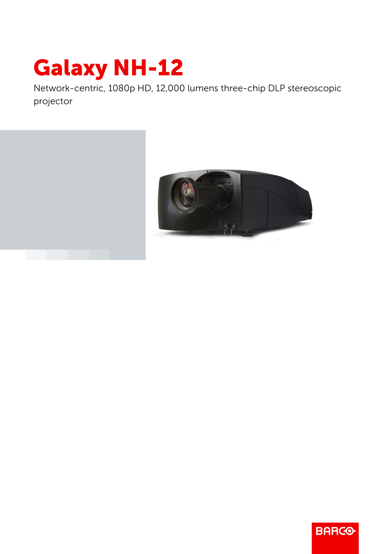## Galaxy NH-12

Network-centric, 1080p HD, 12,000 lumens three-chip DLP stereoscopic projector